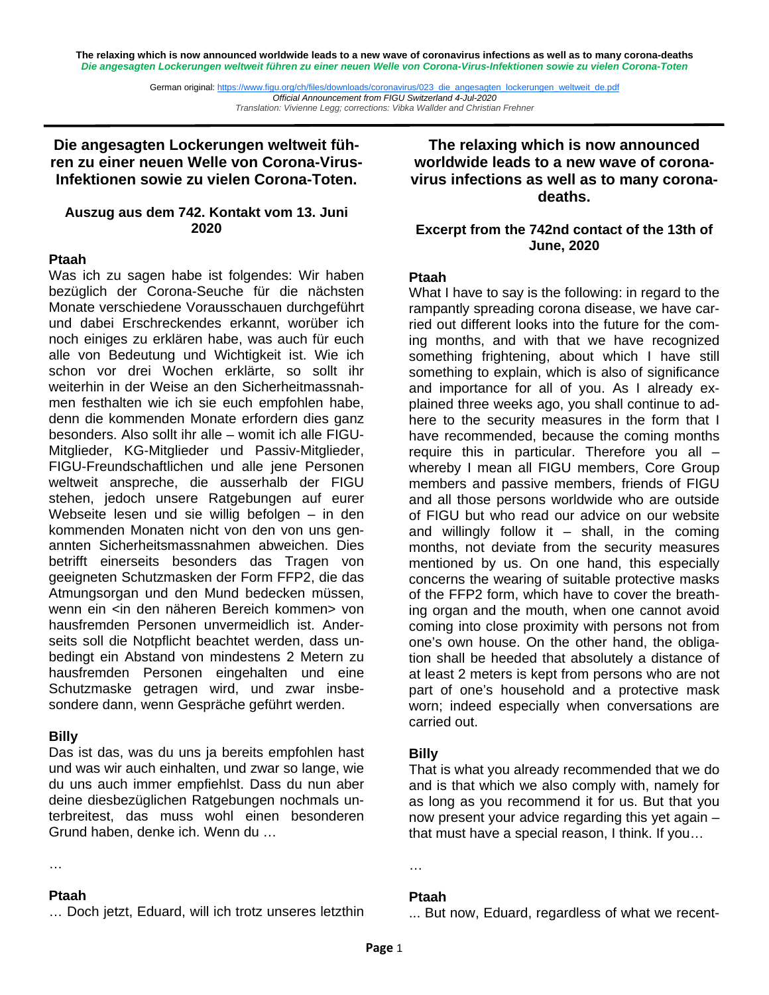**The relaxing which is now announced worldwide leads to a new wave of coronavirus infections as well as to many corona-deaths**  *Die angesagten Lockerungen weltweit führen zu einer neuen Welle von Corona-Virus-Infektionen sowie zu vielen Corona-Toten* 

> German original: https://www.figu.org/ch/files/downloads/coronavirus/023\_die\_angesagten\_lockerungen\_weltweit\_de.pdf *Official Announcement from FIGU Switzerland 4-Jul-2020 Translation: Vivienne Legg; corrections: Vibka Wallder and Christian Frehner*

**Die angesagten Lockerungen weltweit führen zu einer neuen Welle von Corona-Virus-Infektionen sowie zu vielen Corona-Toten.**

## **Auszug aus dem 742. Kontakt vom 13. Juni 2020**

### **Ptaah**

Was ich zu sagen habe ist folgendes: Wir haben bezüglich der Corona-Seuche für die nächsten Monate verschiedene Vorausschauen durchgeführt und dabei Erschreckendes erkannt, worüber ich noch einiges zu erklären habe, was auch für euch alle von Bedeutung und Wichtigkeit ist. Wie ich schon vor drei Wochen erklärte, so sollt ihr weiterhin in der Weise an den Sicherheitmassnahmen festhalten wie ich sie euch empfohlen habe, denn die kommenden Monate erfordern dies ganz besonders. Also sollt ihr alle – womit ich alle FIGU-Mitglieder, KG-Mitglieder und Passiv-Mitglieder, FIGU-Freundschaftlichen und alle jene Personen weltweit anspreche, die ausserhalb der FIGU stehen, jedoch unsere Ratgebungen auf eurer Webseite lesen und sie willig befolgen – in den kommenden Monaten nicht von den von uns genannten Sicherheitsmassnahmen abweichen. Dies betrifft einerseits besonders das Tragen von geeigneten Schutzmasken der Form FFP2, die das Atmungsorgan und den Mund bedecken müssen, wenn ein <in den näheren Bereich kommen> von hausfremden Personen unvermeidlich ist. Anderseits soll die Notpflicht beachtet werden, dass unbedingt ein Abstand von mindestens 2 Metern zu hausfremden Personen eingehalten und eine Schutzmaske getragen wird, und zwar insbesondere dann, wenn Gespräche geführt werden.

## **Billy**

Das ist das, was du uns ja bereits empfohlen hast und was wir auch einhalten, und zwar so lange, wie du uns auch immer empfiehlst. Dass du nun aber deine diesbezüglichen Ratgebungen nochmals unterbreitest, das muss wohl einen besonderen Grund haben, denke ich. Wenn du …

#### …

#### **Ptaah**

… Doch jetzt, Eduard, will ich trotz unseres letzthin

**The relaxing which is now announced worldwide leads to a new wave of coronavirus infections as well as to many coronadeaths.**

## **Excerpt from the 742nd contact of the 13th of June, 2020**

### **Ptaah**

What I have to say is the following: in regard to the rampantly spreading corona disease, we have carried out different looks into the future for the coming months, and with that we have recognized something frightening, about which I have still something to explain, which is also of significance and importance for all of you. As I already explained three weeks ago, you shall continue to adhere to the security measures in the form that I have recommended, because the coming months require this in particular. Therefore you all – whereby I mean all FIGU members, Core Group members and passive members, friends of FIGU and all those persons worldwide who are outside of FIGU but who read our advice on our website and willingly follow it  $-$  shall, in the coming months, not deviate from the security measures mentioned by us. On one hand, this especially concerns the wearing of suitable protective masks of the FFP2 form, which have to cover the breathing organ and the mouth, when one cannot avoid coming into close proximity with persons not from one's own house. On the other hand, the obligation shall be heeded that absolutely a distance of at least 2 meters is kept from persons who are not part of one's household and a protective mask worn; indeed especially when conversations are carried out.

## **Billy**

That is what you already recommended that we do and is that which we also comply with, namely for as long as you recommend it for us. But that you now present your advice regarding this yet again – that must have a special reason, I think. If you…

#### **Ptaah**

…

... But now, Eduard, regardless of what we recent-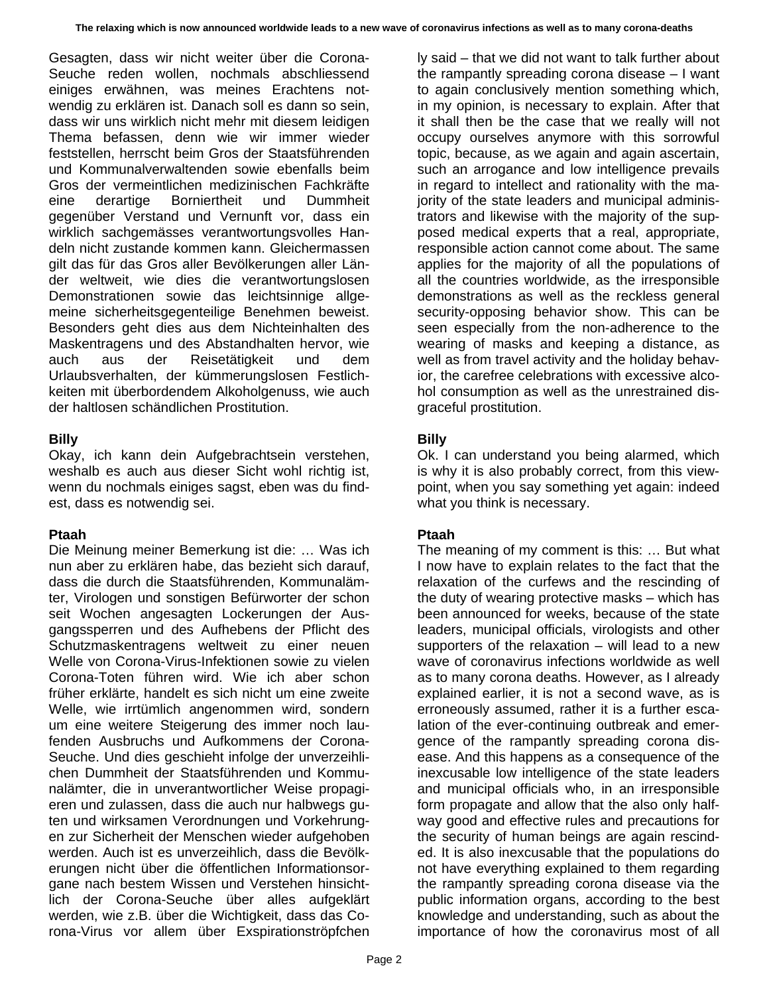Gesagten, dass wir nicht weiter über die Corona-Seuche reden wollen, nochmals abschliessend einiges erwähnen, was meines Erachtens notwendig zu erklären ist. Danach soll es dann so sein, dass wir uns wirklich nicht mehr mit diesem leidigen Thema befassen, denn wie wir immer wieder feststellen, herrscht beim Gros der Staatsführenden und Kommunalverwaltenden sowie ebenfalls beim Gros der vermeintlichen medizinischen Fachkräfte eine derartige Borniertheit und Dummheit gegenüber Verstand und Vernunft vor, dass ein wirklich sachgemässes verantwortungsvolles Handeln nicht zustande kommen kann. Gleichermassen gilt das für das Gros aller Bevölkerungen aller Länder weltweit, wie dies die verantwortungslosen Demonstrationen sowie das leichtsinnige allgemeine sicherheitsgegenteilige Benehmen beweist. Besonders geht dies aus dem Nichteinhalten des Maskentragens und des Abstandhalten hervor, wie auch aus der Reisetätigkeit und dem Urlaubsverhalten, der kümmerungslosen Festlichkeiten mit überbordendem Alkoholgenuss, wie auch der haltlosen schändlichen Prostitution.

## **Billy**

Okay, ich kann dein Aufgebrachtsein verstehen, weshalb es auch aus dieser Sicht wohl richtig ist, wenn du nochmals einiges sagst, eben was du findest, dass es notwendig sei.

## **Ptaah**

Die Meinung meiner Bemerkung ist die: … Was ich nun aber zu erklären habe, das bezieht sich darauf, dass die durch die Staatsführenden, Kommunalämter, Virologen und sonstigen Befürworter der schon seit Wochen angesagten Lockerungen der Ausgangssperren und des Aufhebens der Pflicht des Schutzmaskentragens weltweit zu einer neuen Welle von Corona-Virus-Infektionen sowie zu vielen Corona-Toten führen wird. Wie ich aber schon früher erklärte, handelt es sich nicht um eine zweite Welle, wie irrtümlich angenommen wird, sondern um eine weitere Steigerung des immer noch laufenden Ausbruchs und Aufkommens der Corona-Seuche. Und dies geschieht infolge der unverzeihlichen Dummheit der Staatsführenden und Kommunalämter, die in unverantwortlicher Weise propagieren und zulassen, dass die auch nur halbwegs guten und wirksamen Verordnungen und Vorkehrungen zur Sicherheit der Menschen wieder aufgehoben werden. Auch ist es unverzeihlich, dass die Bevölkerungen nicht über die öffentlichen Informationsorgane nach bestem Wissen und Verstehen hinsichtlich der Corona-Seuche über alles aufgeklärt werden, wie z.B. über die Wichtigkeit, dass das Corona-Virus vor allem über Exspirationströpfchen

ly said – that we did not want to talk further about the rampantly spreading corona disease – I want to again conclusively mention something which, in my opinion, is necessary to explain. After that it shall then be the case that we really will not occupy ourselves anymore with this sorrowful topic, because, as we again and again ascertain, such an arrogance and low intelligence prevails in regard to intellect and rationality with the majority of the state leaders and municipal administrators and likewise with the majority of the supposed medical experts that a real, appropriate, responsible action cannot come about. The same applies for the majority of all the populations of all the countries worldwide, as the irresponsible demonstrations as well as the reckless general security-opposing behavior show. This can be seen especially from the non-adherence to the wearing of masks and keeping a distance, as well as from travel activity and the holiday behavior, the carefree celebrations with excessive alcohol consumption as well as the unrestrained disgraceful prostitution.

# **Billy**

Ok. I can understand you being alarmed, which is why it is also probably correct, from this viewpoint, when you say something yet again: indeed what you think is necessary.

# **Ptaah**

The meaning of my comment is this: … But what I now have to explain relates to the fact that the relaxation of the curfews and the rescinding of the duty of wearing protective masks – which has been announced for weeks, because of the state leaders, municipal officials, virologists and other supporters of the relaxation – will lead to a new wave of coronavirus infections worldwide as well as to many corona deaths. However, as I already explained earlier, it is not a second wave, as is erroneously assumed, rather it is a further escalation of the ever-continuing outbreak and emergence of the rampantly spreading corona disease. And this happens as a consequence of the inexcusable low intelligence of the state leaders and municipal officials who, in an irresponsible form propagate and allow that the also only halfway good and effective rules and precautions for the security of human beings are again rescinded. It is also inexcusable that the populations do not have everything explained to them regarding the rampantly spreading corona disease via the public information organs, according to the best knowledge and understanding, such as about the importance of how the coronavirus most of all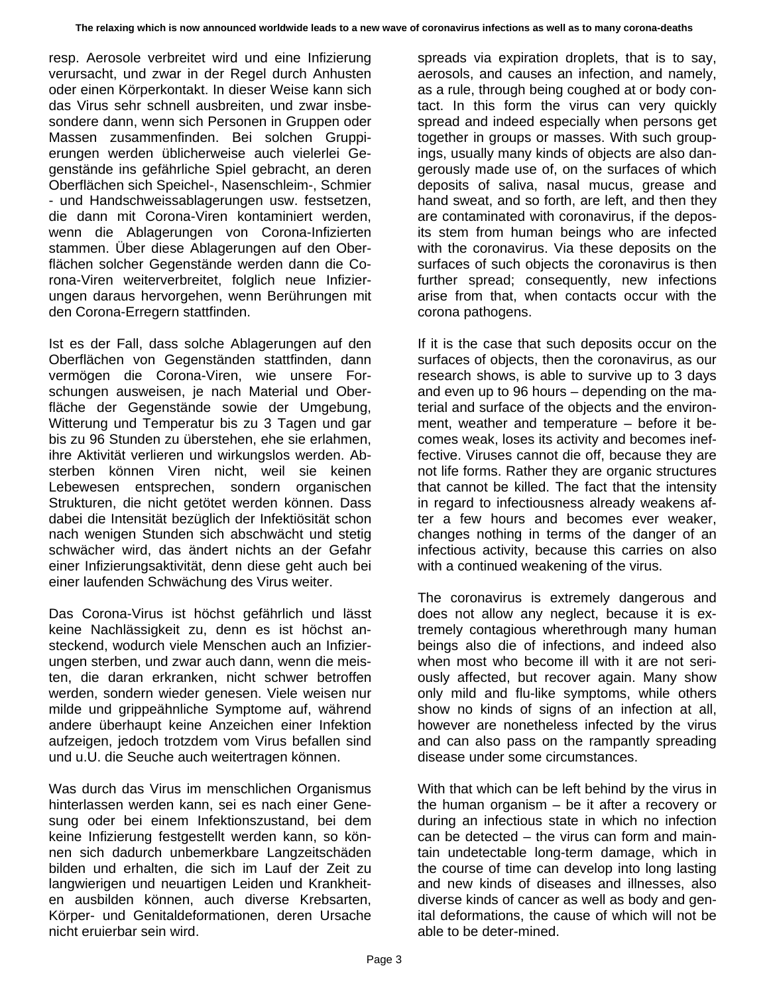resp. Aerosole verbreitet wird und eine Infizierung verursacht, und zwar in der Regel durch Anhusten oder einen Körperkontakt. In dieser Weise kann sich das Virus sehr schnell ausbreiten, und zwar insbesondere dann, wenn sich Personen in Gruppen oder Massen zusammenfinden. Bei solchen Gruppierungen werden üblicherweise auch vielerlei Gegenstände ins gefährliche Spiel gebracht, an deren Oberflächen sich Speichel-, Nasenschleim-, Schmier - und Handschweissablagerungen usw. festsetzen, die dann mit Corona-Viren kontaminiert werden, wenn die Ablagerungen von Corona-Infizierten stammen. Über diese Ablagerungen auf den Oberflächen solcher Gegenstände werden dann die Corona-Viren weiterverbreitet, folglich neue Infizierungen daraus hervorgehen, wenn Berührungen mit den Corona-Erregern stattfinden.

Ist es der Fall, dass solche Ablagerungen auf den Oberflächen von Gegenständen stattfinden, dann vermögen die Corona-Viren, wie unsere Forschungen ausweisen, je nach Material und Oberfläche der Gegenstände sowie der Umgebung, Witterung und Temperatur bis zu 3 Tagen und gar bis zu 96 Stunden zu überstehen, ehe sie erlahmen, ihre Aktivität verlieren und wirkungslos werden. Absterben können Viren nicht, weil sie keinen Lebewesen entsprechen, sondern organischen Strukturen, die nicht getötet werden können. Dass dabei die Intensität bezüglich der Infektiösität schon nach wenigen Stunden sich abschwächt und stetig schwächer wird, das ändert nichts an der Gefahr einer Infizierungsaktivität, denn diese geht auch bei einer laufenden Schwächung des Virus weiter.

Das Corona-Virus ist höchst gefährlich und lässt keine Nachlässigkeit zu, denn es ist höchst ansteckend, wodurch viele Menschen auch an Infizierungen sterben, und zwar auch dann, wenn die meisten, die daran erkranken, nicht schwer betroffen werden, sondern wieder genesen. Viele weisen nur milde und grippeähnliche Symptome auf, während andere überhaupt keine Anzeichen einer Infektion aufzeigen, jedoch trotzdem vom Virus befallen sind und u.U. die Seuche auch weitertragen können.

Was durch das Virus im menschlichen Organismus hinterlassen werden kann, sei es nach einer Genesung oder bei einem Infektionszustand, bei dem keine Infizierung festgestellt werden kann, so können sich dadurch unbemerkbare Langzeitschäden bilden und erhalten, die sich im Lauf der Zeit zu langwierigen und neuartigen Leiden und Krankheiten ausbilden können, auch diverse Krebsarten, Körper- und Genitaldeformationen, deren Ursache nicht eruierbar sein wird.

spreads via expiration droplets, that is to say, aerosols, and causes an infection, and namely, as a rule, through being coughed at or body contact. In this form the virus can very quickly spread and indeed especially when persons get together in groups or masses. With such groupings, usually many kinds of objects are also dangerously made use of, on the surfaces of which deposits of saliva, nasal mucus, grease and hand sweat, and so forth, are left, and then they are contaminated with coronavirus, if the deposits stem from human beings who are infected with the coronavirus. Via these deposits on the surfaces of such objects the coronavirus is then further spread; consequently, new infections arise from that, when contacts occur with the corona pathogens.

If it is the case that such deposits occur on the surfaces of objects, then the coronavirus, as our research shows, is able to survive up to 3 days and even up to 96 hours – depending on the material and surface of the objects and the environment, weather and temperature – before it becomes weak, loses its activity and becomes ineffective. Viruses cannot die off, because they are not life forms. Rather they are organic structures that cannot be killed. The fact that the intensity in regard to infectiousness already weakens after a few hours and becomes ever weaker, changes nothing in terms of the danger of an infectious activity, because this carries on also with a continued weakening of the virus.

The coronavirus is extremely dangerous and does not allow any neglect, because it is extremely contagious wherethrough many human beings also die of infections, and indeed also when most who become ill with it are not seriously affected, but recover again. Many show only mild and flu-like symptoms, while others show no kinds of signs of an infection at all. however are nonetheless infected by the virus and can also pass on the rampantly spreading disease under some circumstances.

With that which can be left behind by the virus in the human organism – be it after a recovery or during an infectious state in which no infection can be detected – the virus can form and maintain undetectable long-term damage, which in the course of time can develop into long lasting and new kinds of diseases and illnesses, also diverse kinds of cancer as well as body and genital deformations, the cause of which will not be able to be deter-mined.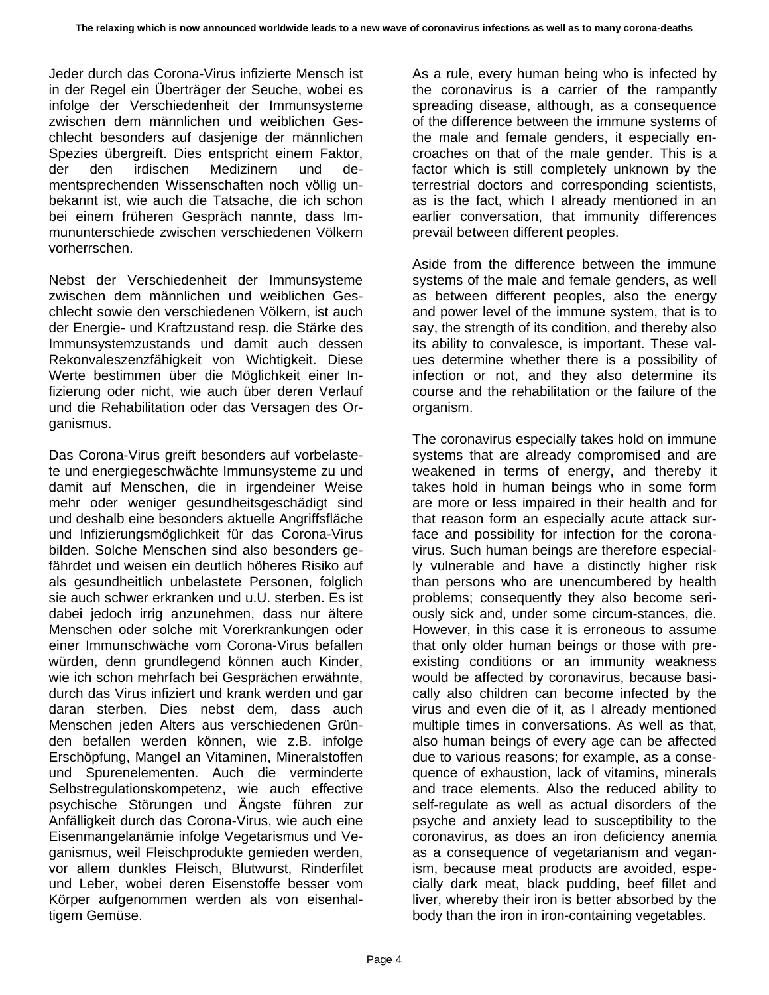Jeder durch das Corona-Virus infizierte Mensch ist in der Regel ein Überträger der Seuche, wobei es infolge der Verschiedenheit der Immunsysteme zwischen dem männlichen und weiblichen Geschlecht besonders auf dasjenige der männlichen Spezies übergreift. Dies entspricht einem Faktor, der den irdischen Medizinern und dementsprechenden Wissenschaften noch völlig unbekannt ist, wie auch die Tatsache, die ich schon bei einem früheren Gespräch nannte, dass Immununterschiede zwischen verschiedenen Völkern vorherrschen.

Nebst der Verschiedenheit der Immunsysteme zwischen dem männlichen und weiblichen Geschlecht sowie den verschiedenen Völkern, ist auch der Energie- und Kraftzustand resp. die Stärke des Immunsystemzustands und damit auch dessen Rekonvaleszenzfähigkeit von Wichtigkeit. Diese Werte bestimmen über die Möglichkeit einer Infizierung oder nicht, wie auch über deren Verlauf und die Rehabilitation oder das Versagen des Organismus.

Das Corona-Virus greift besonders auf vorbelastete und energiegeschwächte Immunsysteme zu und damit auf Menschen, die in irgendeiner Weise mehr oder weniger gesundheitsgeschädigt sind und deshalb eine besonders aktuelle Angriffsfläche und Infizierungsmöglichkeit für das Corona-Virus bilden. Solche Menschen sind also besonders gefährdet und weisen ein deutlich höheres Risiko auf als gesundheitlich unbelastete Personen, folglich sie auch schwer erkranken und u.U. sterben. Es ist dabei jedoch irrig anzunehmen, dass nur ältere Menschen oder solche mit Vorerkrankungen oder einer Immunschwäche vom Corona-Virus befallen würden, denn grundlegend können auch Kinder, wie ich schon mehrfach bei Gesprächen erwähnte, durch das Virus infiziert und krank werden und gar daran sterben. Dies nebst dem, dass auch Menschen jeden Alters aus verschiedenen Gründen befallen werden können, wie z.B. infolge Erschöpfung, Mangel an Vitaminen, Mineralstoffen und Spurenelementen. Auch die verminderte Selbstregulationskompetenz, wie auch effective psychische Störungen und Ängste führen zur Anfälligkeit durch das Corona-Virus, wie auch eine Eisenmangelanämie infolge Vegetarismus und Veganismus, weil Fleischprodukte gemieden werden, vor allem dunkles Fleisch, Blutwurst, Rinderfilet und Leber, wobei deren Eisenstoffe besser vom Körper aufgenommen werden als von eisenhaltigem Gemüse.

As a rule, every human being who is infected by the coronavirus is a carrier of the rampantly spreading disease, although, as a consequence of the difference between the immune systems of the male and female genders, it especially encroaches on that of the male gender. This is a factor which is still completely unknown by the terrestrial doctors and corresponding scientists, as is the fact, which I already mentioned in an earlier conversation, that immunity differences prevail between different peoples.

Aside from the difference between the immune systems of the male and female genders, as well as between different peoples, also the energy and power level of the immune system, that is to say, the strength of its condition, and thereby also its ability to convalesce, is important. These values determine whether there is a possibility of infection or not, and they also determine its course and the rehabilitation or the failure of the organism.

The coronavirus especially takes hold on immune systems that are already compromised and are weakened in terms of energy, and thereby it takes hold in human beings who in some form are more or less impaired in their health and for that reason form an especially acute attack surface and possibility for infection for the coronavirus. Such human beings are therefore especially vulnerable and have a distinctly higher risk than persons who are unencumbered by health problems; consequently they also become seriously sick and, under some circum-stances, die. However, in this case it is erroneous to assume that only older human beings or those with preexisting conditions or an immunity weakness would be affected by coronavirus, because basically also children can become infected by the virus and even die of it, as I already mentioned multiple times in conversations. As well as that, also human beings of every age can be affected due to various reasons; for example, as a consequence of exhaustion, lack of vitamins, minerals and trace elements. Also the reduced ability to self-regulate as well as actual disorders of the psyche and anxiety lead to susceptibility to the coronavirus, as does an iron deficiency anemia as a consequence of vegetarianism and veganism, because meat products are avoided, especially dark meat, black pudding, beef fillet and liver, whereby their iron is better absorbed by the body than the iron in iron-containing vegetables.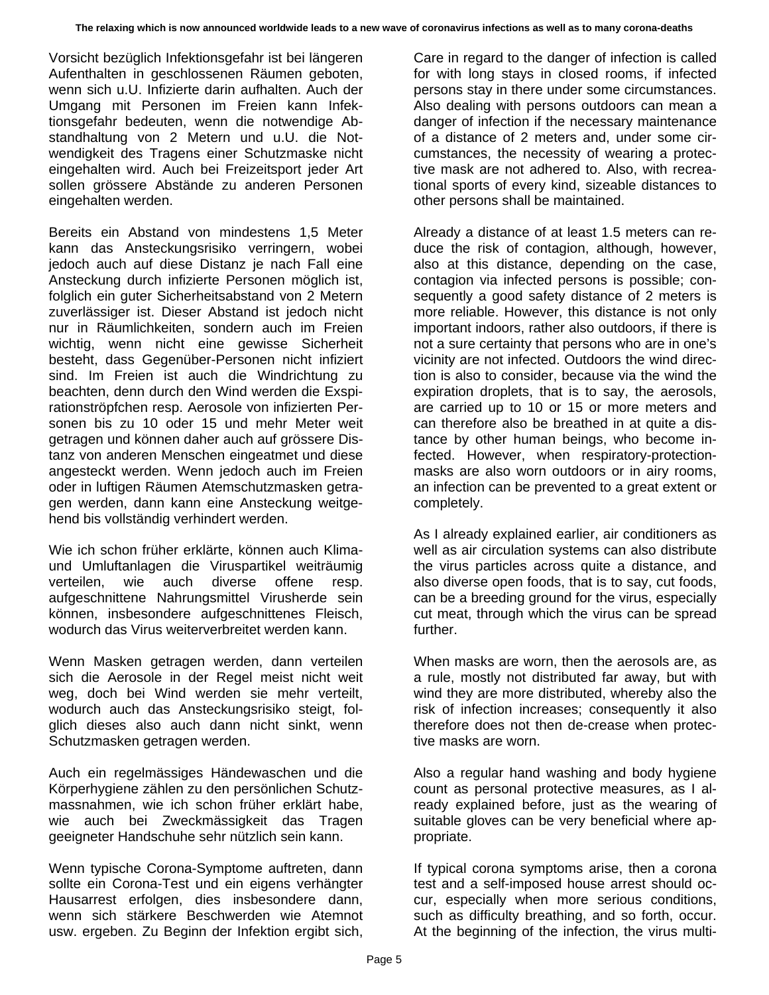Vorsicht bezüglich Infektionsgefahr ist bei längeren Aufenthalten in geschlossenen Räumen geboten, wenn sich u.U. Infizierte darin aufhalten. Auch der Umgang mit Personen im Freien kann Infektionsgefahr bedeuten, wenn die notwendige Abstandhaltung von 2 Metern und u.U. die Notwendigkeit des Tragens einer Schutzmaske nicht eingehalten wird. Auch bei Freizeitsport jeder Art sollen grössere Abstände zu anderen Personen eingehalten werden.

Bereits ein Abstand von mindestens 1,5 Meter kann das Ansteckungsrisiko verringern, wobei jedoch auch auf diese Distanz je nach Fall eine Ansteckung durch infizierte Personen möglich ist, folglich ein guter Sicherheitsabstand von 2 Metern zuverlässiger ist. Dieser Abstand ist jedoch nicht nur in Räumlichkeiten, sondern auch im Freien wichtig, wenn nicht eine gewisse Sicherheit besteht, dass Gegenüber-Personen nicht infiziert sind. Im Freien ist auch die Windrichtung zu beachten, denn durch den Wind werden die Exspirationströpfchen resp. Aerosole von infizierten Personen bis zu 10 oder 15 und mehr Meter weit getragen und können daher auch auf grössere Distanz von anderen Menschen eingeatmet und diese angesteckt werden. Wenn jedoch auch im Freien oder in luftigen Räumen Atemschutzmasken getragen werden, dann kann eine Ansteckung weitgehend bis vollständig verhindert werden.

Wie ich schon früher erklärte, können auch Klimaund Umluftanlagen die Viruspartikel weiträumig verteilen, wie auch diverse offene resp. aufgeschnittene Nahrungsmittel Virusherde sein können, insbesondere aufgeschnittenes Fleisch, wodurch das Virus weiterverbreitet werden kann.

Wenn Masken getragen werden, dann verteilen sich die Aerosole in der Regel meist nicht weit weg, doch bei Wind werden sie mehr verteilt, wodurch auch das Ansteckungsrisiko steigt, folglich dieses also auch dann nicht sinkt, wenn Schutzmasken getragen werden.

Auch ein regelmässiges Händewaschen und die Körperhygiene zählen zu den persönlichen Schutzmassnahmen, wie ich schon früher erklärt habe, wie auch bei Zweckmässigkeit das Tragen geeigneter Handschuhe sehr nützlich sein kann.

Wenn typische Corona-Symptome auftreten, dann sollte ein Corona-Test und ein eigens verhängter Hausarrest erfolgen, dies insbesondere dann, wenn sich stärkere Beschwerden wie Atemnot usw. ergeben. Zu Beginn der Infektion ergibt sich, Care in regard to the danger of infection is called for with long stays in closed rooms, if infected persons stay in there under some circumstances. Also dealing with persons outdoors can mean a danger of infection if the necessary maintenance of a distance of 2 meters and, under some circumstances, the necessity of wearing a protective mask are not adhered to. Also, with recreational sports of every kind, sizeable distances to other persons shall be maintained.

Already a distance of at least 1.5 meters can reduce the risk of contagion, although, however, also at this distance, depending on the case, contagion via infected persons is possible; consequently a good safety distance of 2 meters is more reliable. However, this distance is not only important indoors, rather also outdoors, if there is not a sure certainty that persons who are in one's vicinity are not infected. Outdoors the wind direction is also to consider, because via the wind the expiration droplets, that is to say, the aerosols, are carried up to 10 or 15 or more meters and can therefore also be breathed in at quite a distance by other human beings, who become infected. However, when respiratory-protectionmasks are also worn outdoors or in airy rooms, an infection can be prevented to a great extent or completely.

As I already explained earlier, air conditioners as well as air circulation systems can also distribute the virus particles across quite a distance, and also diverse open foods, that is to say, cut foods, can be a breeding ground for the virus, especially cut meat, through which the virus can be spread further.

When masks are worn, then the aerosols are, as a rule, mostly not distributed far away, but with wind they are more distributed, whereby also the risk of infection increases; consequently it also therefore does not then de-crease when protective masks are worn.

Also a regular hand washing and body hygiene count as personal protective measures, as I already explained before, just as the wearing of suitable gloves can be very beneficial where appropriate.

If typical corona symptoms arise, then a corona test and a self-imposed house arrest should occur, especially when more serious conditions, such as difficulty breathing, and so forth, occur. At the beginning of the infection, the virus multi-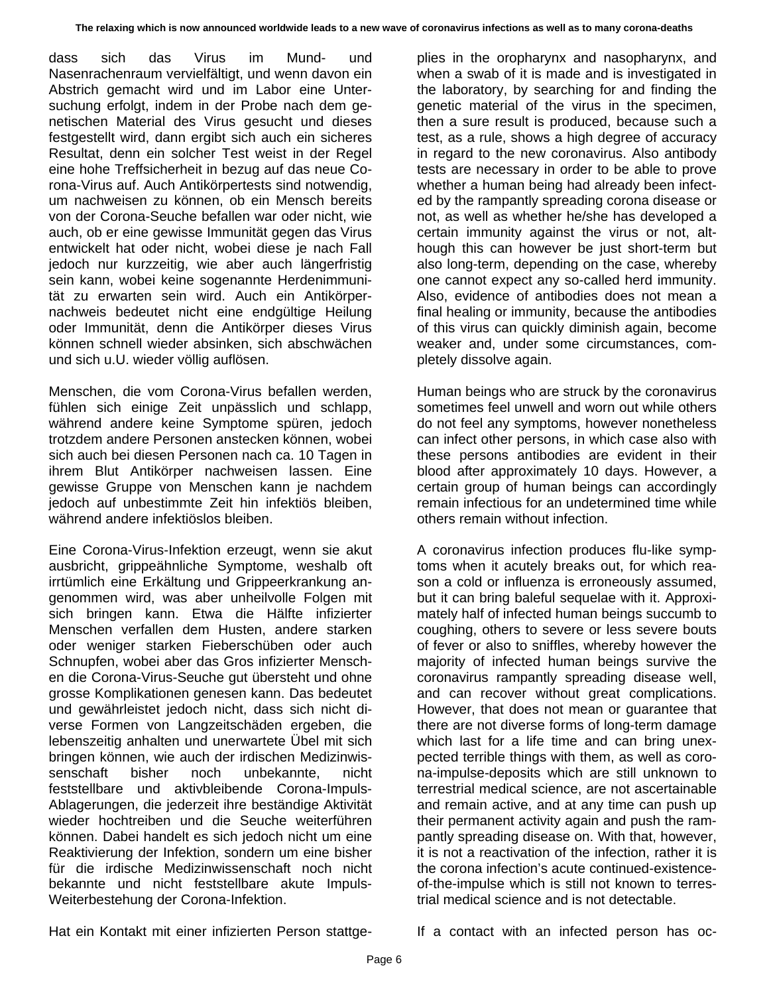dass sich das Virus im Mund- und Nasenrachenraum vervielfältigt, und wenn davon ein Abstrich gemacht wird und im Labor eine Untersuchung erfolgt, indem in der Probe nach dem genetischen Material des Virus gesucht und dieses festgestellt wird, dann ergibt sich auch ein sicheres Resultat, denn ein solcher Test weist in der Regel eine hohe Treffsicherheit in bezug auf das neue Corona-Virus auf. Auch Antikörpertests sind notwendig, um nachweisen zu können, ob ein Mensch bereits von der Corona-Seuche befallen war oder nicht, wie auch, ob er eine gewisse Immunität gegen das Virus entwickelt hat oder nicht, wobei diese je nach Fall jedoch nur kurzzeitig, wie aber auch längerfristig sein kann, wobei keine sogenannte Herdenimmunität zu erwarten sein wird. Auch ein Antikörpernachweis bedeutet nicht eine endgültige Heilung oder Immunität, denn die Antikörper dieses Virus können schnell wieder absinken, sich abschwächen und sich u.U. wieder völlig auflösen.

Menschen, die vom Corona-Virus befallen werden, fühlen sich einige Zeit unpässlich und schlapp, während andere keine Symptome spüren, jedoch trotzdem andere Personen anstecken können, wobei sich auch bei diesen Personen nach ca. 10 Tagen in ihrem Blut Antikörper nachweisen lassen. Eine gewisse Gruppe von Menschen kann je nachdem jedoch auf unbestimmte Zeit hin infektiös bleiben, während andere infektiöslos bleiben.

Eine Corona-Virus-Infektion erzeugt, wenn sie akut ausbricht, grippeähnliche Symptome, weshalb oft irrtümlich eine Erkältung und Grippeerkrankung angenommen wird, was aber unheilvolle Folgen mit sich bringen kann. Etwa die Hälfte infizierter Menschen verfallen dem Husten, andere starken oder weniger starken Fieberschüben oder auch Schnupfen, wobei aber das Gros infizierter Menschen die Corona-Virus-Seuche gut übersteht und ohne grosse Komplikationen genesen kann. Das bedeutet und gewährleistet jedoch nicht, dass sich nicht diverse Formen von Langzeitschäden ergeben, die lebenszeitig anhalten und unerwartete Übel mit sich bringen können, wie auch der irdischen Medizinwissenschaft bisher noch unbekannte, nicht feststellbare und aktivbleibende Corona-Impuls-Ablagerungen, die jederzeit ihre beständige Aktivität wieder hochtreiben und die Seuche weiterführen können. Dabei handelt es sich jedoch nicht um eine Reaktivierung der Infektion, sondern um eine bisher für die irdische Medizinwissenschaft noch nicht bekannte und nicht feststellbare akute Impuls-Weiterbestehung der Corona-Infektion.

plies in the oropharynx and nasopharynx, and when a swab of it is made and is investigated in the laboratory, by searching for and finding the genetic material of the virus in the specimen, then a sure result is produced, because such a test, as a rule, shows a high degree of accuracy in regard to the new coronavirus. Also antibody tests are necessary in order to be able to prove whether a human being had already been infected by the rampantly spreading corona disease or not, as well as whether he/she has developed a certain immunity against the virus or not, although this can however be just short-term but also long-term, depending on the case, whereby one cannot expect any so-called herd immunity. Also, evidence of antibodies does not mean a final healing or immunity, because the antibodies of this virus can quickly diminish again, become weaker and, under some circumstances, completely dissolve again.

Human beings who are struck by the coronavirus sometimes feel unwell and worn out while others do not feel any symptoms, however nonetheless can infect other persons, in which case also with these persons antibodies are evident in their blood after approximately 10 days. However, a certain group of human beings can accordingly remain infectious for an undetermined time while others remain without infection.

A coronavirus infection produces flu-like symptoms when it acutely breaks out, for which reason a cold or influenza is erroneously assumed, but it can bring baleful sequelae with it. Approximately half of infected human beings succumb to coughing, others to severe or less severe bouts of fever or also to sniffles, whereby however the majority of infected human beings survive the coronavirus rampantly spreading disease well, and can recover without great complications. However, that does not mean or guarantee that there are not diverse forms of long-term damage which last for a life time and can bring unexpected terrible things with them, as well as corona-impulse-deposits which are still unknown to terrestrial medical science, are not ascertainable and remain active, and at any time can push up their permanent activity again and push the rampantly spreading disease on. With that, however, it is not a reactivation of the infection, rather it is the corona infection's acute continued-existenceof-the-impulse which is still not known to terrestrial medical science and is not detectable.

Hat ein Kontakt mit einer infizierten Person stattge-

If a contact with an infected person has oc-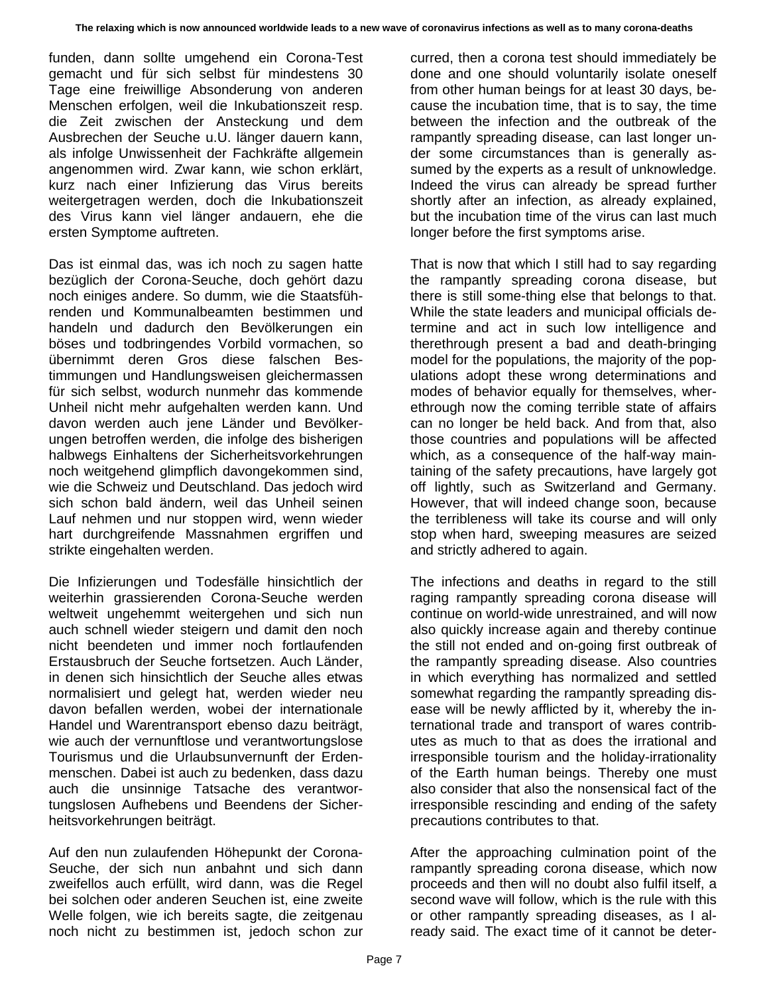funden, dann sollte umgehend ein Corona-Test gemacht und für sich selbst für mindestens 30 Tage eine freiwillige Absonderung von anderen Menschen erfolgen, weil die Inkubationszeit resp. die Zeit zwischen der Ansteckung und dem Ausbrechen der Seuche u.U. länger dauern kann, als infolge Unwissenheit der Fachkräfte allgemein angenommen wird. Zwar kann, wie schon erklärt, kurz nach einer Infizierung das Virus bereits weitergetragen werden, doch die Inkubationszeit des Virus kann viel länger andauern, ehe die ersten Symptome auftreten.

Das ist einmal das, was ich noch zu sagen hatte bezüglich der Corona-Seuche, doch gehört dazu noch einiges andere. So dumm, wie die Staatsführenden und Kommunalbeamten bestimmen und handeln und dadurch den Bevölkerungen ein böses und todbringendes Vorbild vormachen, so übernimmt deren Gros diese falschen Bestimmungen und Handlungsweisen gleichermassen für sich selbst, wodurch nunmehr das kommende Unheil nicht mehr aufgehalten werden kann. Und davon werden auch jene Länder und Bevölkerungen betroffen werden, die infolge des bisherigen halbwegs Einhaltens der Sicherheitsvorkehrungen noch weitgehend glimpflich davongekommen sind, wie die Schweiz und Deutschland. Das jedoch wird sich schon bald ändern, weil das Unheil seinen Lauf nehmen und nur stoppen wird, wenn wieder hart durchgreifende Massnahmen ergriffen und strikte eingehalten werden.

Die Infizierungen und Todesfälle hinsichtlich der weiterhin grassierenden Corona-Seuche werden weltweit ungehemmt weitergehen und sich nun auch schnell wieder steigern und damit den noch nicht beendeten und immer noch fortlaufenden Erstausbruch der Seuche fortsetzen. Auch Länder, in denen sich hinsichtlich der Seuche alles etwas normalisiert und gelegt hat, werden wieder neu davon befallen werden, wobei der internationale Handel und Warentransport ebenso dazu beiträgt, wie auch der vernunftlose und verantwortungslose Tourismus und die Urlaubsunvernunft der Erdenmenschen. Dabei ist auch zu bedenken, dass dazu auch die unsinnige Tatsache des verantwortungslosen Aufhebens und Beendens der Sicherheitsvorkehrungen beiträgt.

Auf den nun zulaufenden Höhepunkt der Corona-Seuche, der sich nun anbahnt und sich dann zweifellos auch erfüllt, wird dann, was die Regel bei solchen oder anderen Seuchen ist, eine zweite Welle folgen, wie ich bereits sagte, die zeitgenau noch nicht zu bestimmen ist, jedoch schon zur curred, then a corona test should immediately be done and one should voluntarily isolate oneself from other human beings for at least 30 days, because the incubation time, that is to say, the time between the infection and the outbreak of the rampantly spreading disease, can last longer under some circumstances than is generally assumed by the experts as a result of unknowledge. Indeed the virus can already be spread further shortly after an infection, as already explained, but the incubation time of the virus can last much longer before the first symptoms arise.

That is now that which I still had to say regarding the rampantly spreading corona disease, but there is still some-thing else that belongs to that. While the state leaders and municipal officials determine and act in such low intelligence and therethrough present a bad and death-bringing model for the populations, the majority of the populations adopt these wrong determinations and modes of behavior equally for themselves, wherethrough now the coming terrible state of affairs can no longer be held back. And from that, also those countries and populations will be affected which, as a consequence of the half-way maintaining of the safety precautions, have largely got off lightly, such as Switzerland and Germany. However, that will indeed change soon, because the terribleness will take its course and will only stop when hard, sweeping measures are seized and strictly adhered to again.

The infections and deaths in regard to the still raging rampantly spreading corona disease will continue on world-wide unrestrained, and will now also quickly increase again and thereby continue the still not ended and on-going first outbreak of the rampantly spreading disease. Also countries in which everything has normalized and settled somewhat regarding the rampantly spreading disease will be newly afflicted by it, whereby the international trade and transport of wares contributes as much to that as does the irrational and irresponsible tourism and the holiday-irrationality of the Earth human beings. Thereby one must also consider that also the nonsensical fact of the irresponsible rescinding and ending of the safety precautions contributes to that.

After the approaching culmination point of the rampantly spreading corona disease, which now proceeds and then will no doubt also fulfil itself, a second wave will follow, which is the rule with this or other rampantly spreading diseases, as I already said. The exact time of it cannot be deter